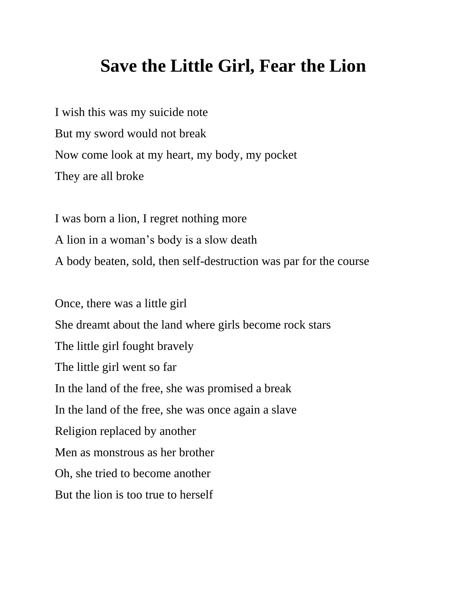## **Save the Little Girl, Fear the Lion**

I wish this was my suicide note But my sword would not break Now come look at my heart, my body, my pocket They are all broke

I was born a lion, I regret nothing more A lion in a woman's body is a slow death A body beaten, sold, then self-destruction was par for the course

Once, there was a little girl She dreamt about the land where girls become rock stars The little girl fought bravely The little girl went so far In the land of the free, she was promised a break In the land of the free, she was once again a slave Religion replaced by another Men as monstrous as her brother Oh, she tried to become another But the lion is too true to herself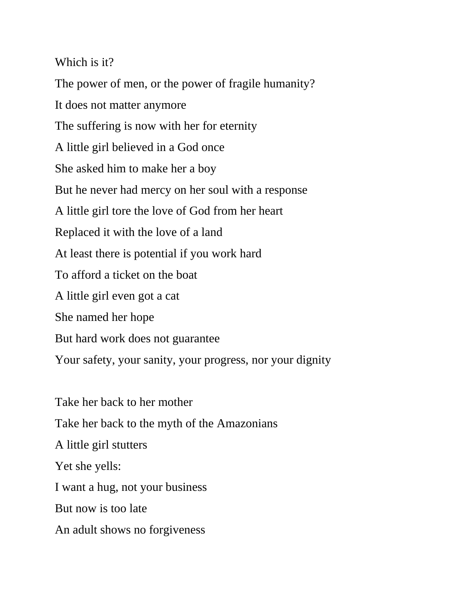Which is it?

The power of men, or the power of fragile humanity? It does not matter anymore The suffering is now with her for eternity A little girl believed in a God once She asked him to make her a boy But he never had mercy on her soul with a response A little girl tore the love of God from her heart Replaced it with the love of a land At least there is potential if you work hard To afford a ticket on the boat A little girl even got a cat She named her hope But hard work does not guarantee Your safety, your sanity, your progress, nor your dignity

Take her back to her mother Take her back to the myth of the Amazonians A little girl stutters Yet she yells: I want a hug, not your business But now is too late An adult shows no forgiveness